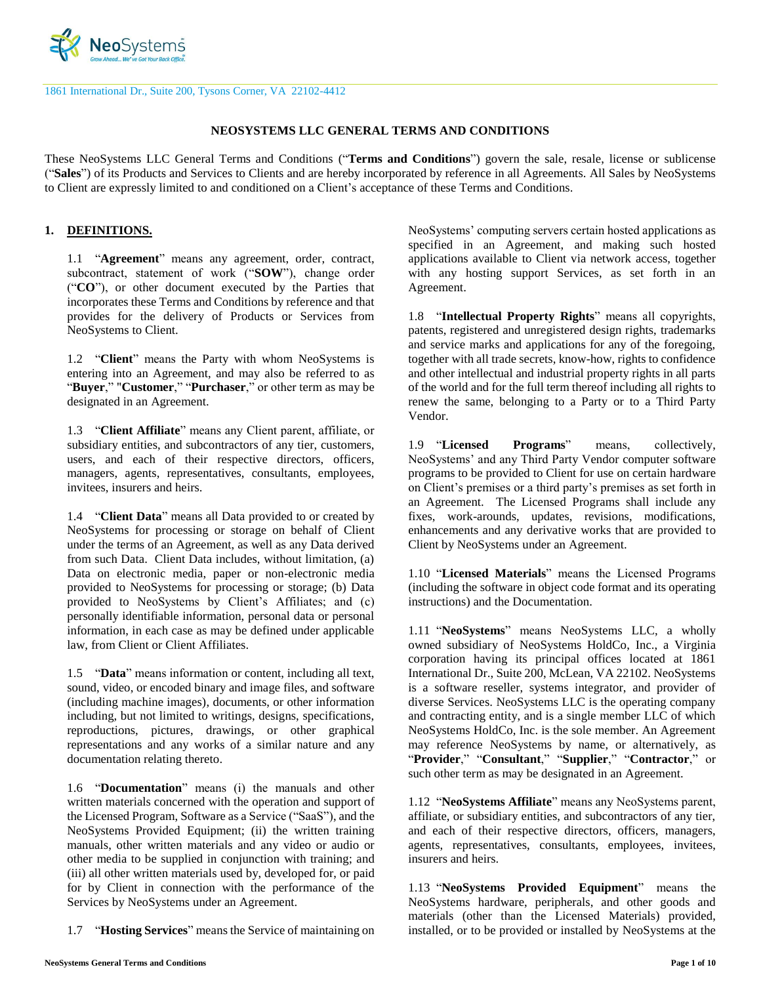

1861 International Dr., Suite 200, Tysons Corner, VA 22102-4412

#### **NEOSYSTEMS LLC GENERAL TERMS AND CONDITIONS**

These NeoSystems LLC General Terms and Conditions ("**Terms and Conditions**") govern the sale, resale, license or sublicense ("**Sales**") of its Products and Services to Clients and are hereby incorporated by reference in all Agreements. All Sales by NeoSystems to Client are expressly limited to and conditioned on a Client's acceptance of these Terms and Conditions.

### **1. DEFINITIONS.**

1.1 "**Agreement**" means any agreement, order, contract, subcontract, statement of work ("**SOW**"), change order ("**CO**"), or other document executed by the Parties that incorporates these Terms and Conditions by reference and that provides for the delivery of Products or Services from NeoSystems to Client.

1.2 "**Client**" means the Party with whom NeoSystems is entering into an Agreement, and may also be referred to as "**Buyer**," "**Customer**," "**Purchaser**," or other term as may be designated in an Agreement.

1.3 "**Client Affiliate**" means any Client parent, affiliate, or subsidiary entities, and subcontractors of any tier, customers, users, and each of their respective directors, officers, managers, agents, representatives, consultants, employees, invitees, insurers and heirs.

1.4 "**Client Data**" means all Data provided to or created by NeoSystems for processing or storage on behalf of Client under the terms of an Agreement, as well as any Data derived from such Data. Client Data includes, without limitation, (a) Data on electronic media, paper or non-electronic media provided to NeoSystems for processing or storage; (b) Data provided to NeoSystems by Client's Affiliates; and (c) personally identifiable information, personal data or personal information, in each case as may be defined under applicable law, from Client or Client Affiliates.

1.5 "**Data**" means information or content, including all text, sound, video, or encoded binary and image files, and software (including machine images), documents, or other information including, but not limited to writings, designs, specifications, reproductions, pictures, drawings, or other graphical representations and any works of a similar nature and any documentation relating thereto.

1.6 "**Documentation**" means (i) the manuals and other written materials concerned with the operation and support of the Licensed Program, Software as a Service ("SaaS"), and the NeoSystems Provided Equipment; (ii) the written training manuals, other written materials and any video or audio or other media to be supplied in conjunction with training; and (iii) all other written materials used by, developed for, or paid for by Client in connection with the performance of the Services by NeoSystems under an Agreement.

1.7 "**Hosting Services**" means the Service of maintaining on

NeoSystems' computing servers certain hosted applications as specified in an Agreement, and making such hosted applications available to Client via network access, together with any hosting support Services, as set forth in an Agreement.

1.8 "**Intellectual Property Rights**" means all copyrights, patents, registered and unregistered design rights, trademarks and service marks and applications for any of the foregoing, together with all trade secrets, know-how, rights to confidence and other intellectual and industrial property rights in all parts of the world and for the full term thereof including all rights to renew the same, belonging to a Party or to a Third Party Vendor.

1.9 "**Licensed Programs**" means, collectively, NeoSystems' and any Third Party Vendor computer software programs to be provided to Client for use on certain hardware on Client's premises or a third party's premises as set forth in an Agreement. The Licensed Programs shall include any fixes, work-arounds, updates, revisions, modifications, enhancements and any derivative works that are provided to Client by NeoSystems under an Agreement.

1.10 "**Licensed Materials**" means the Licensed Programs (including the software in object code format and its operating instructions) and the Documentation.

1.11 "**NeoSystems**" means NeoSystems LLC, a wholly owned subsidiary of NeoSystems HoldCo, Inc., a Virginia corporation having its principal offices located at 1861 International Dr., Suite 200, McLean, VA 22102. NeoSystems is a software reseller, systems integrator, and provider of diverse Services. NeoSystems LLC is the operating company and contracting entity, and is a single member LLC of which NeoSystems HoldCo, Inc. is the sole member. An Agreement may reference NeoSystems by name, or alternatively, as "**Provider**," "**Consultant**," "**Supplier**," "**Contractor**," or such other term as may be designated in an Agreement.

1.12 "**NeoSystems Affiliate**" means any NeoSystems parent, affiliate, or subsidiary entities, and subcontractors of any tier, and each of their respective directors, officers, managers, agents, representatives, consultants, employees, invitees, insurers and heirs.

1.13 "**NeoSystems Provided Equipment**" means the NeoSystems hardware, peripherals, and other goods and materials (other than the Licensed Materials) provided, installed, or to be provided or installed by NeoSystems at the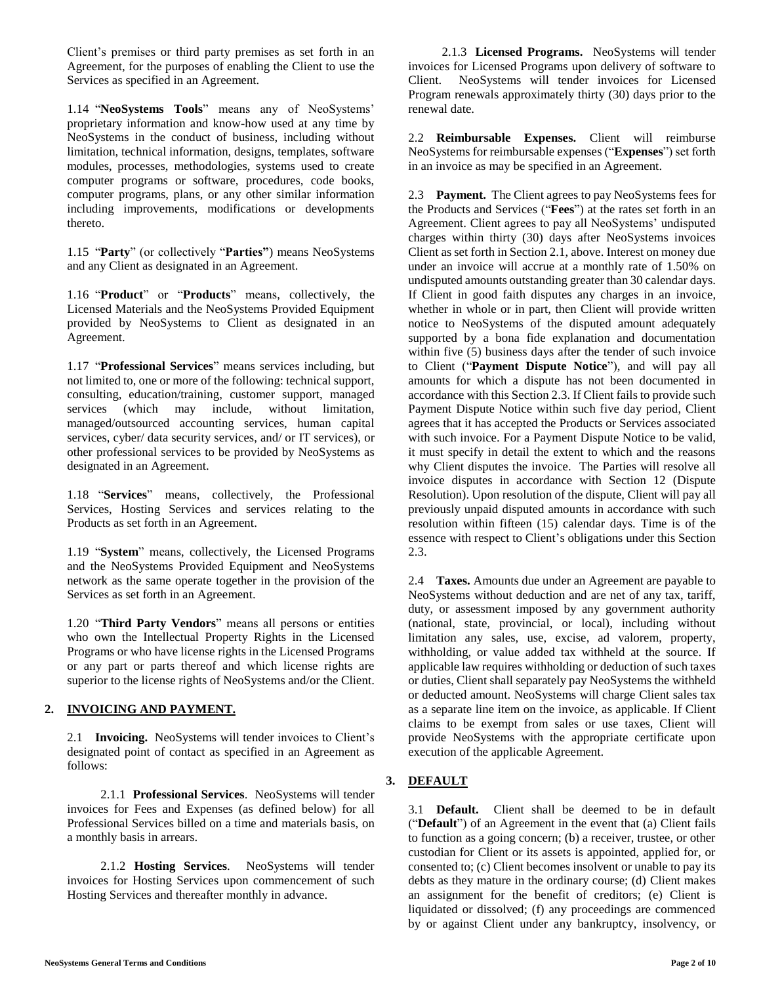Client's premises or third party premises as set forth in an Agreement, for the purposes of enabling the Client to use the Services as specified in an Agreement.

1.14 "**NeoSystems Tools**" means any of NeoSystems' proprietary information and know-how used at any time by NeoSystems in the conduct of business, including without limitation, technical information, designs, templates, software modules, processes, methodologies, systems used to create computer programs or software, procedures, code books, computer programs, plans, or any other similar information including improvements, modifications or developments thereto.

1.15 "**Party**" (or collectively "**Parties"**) means NeoSystems and any Client as designated in an Agreement.

1.16 "**Product**" or "**Products**" means, collectively, the Licensed Materials and the NeoSystems Provided Equipment provided by NeoSystems to Client as designated in an Agreement.

1.17 "**Professional Services**" means services including, but not limited to, one or more of the following: technical support, consulting, education/training, customer support, managed services (which may include, without limitation, managed/outsourced accounting services, human capital services, cyber/ data security services, and/ or IT services), or other professional services to be provided by NeoSystems as designated in an Agreement.

1.18 "**Services**" means, collectively, the Professional Services, Hosting Services and services relating to the Products as set forth in an Agreement.

1.19 "**System**" means, collectively, the Licensed Programs and the NeoSystems Provided Equipment and NeoSystems network as the same operate together in the provision of the Services as set forth in an Agreement.

1.20 "**Third Party Vendors**" means all persons or entities who own the Intellectual Property Rights in the Licensed Programs or who have license rights in the Licensed Programs or any part or parts thereof and which license rights are superior to the license rights of NeoSystems and/or the Client.

# **2. INVOICING AND PAYMENT.**

2.1 **Invoicing.** NeoSystems will tender invoices to Client's designated point of contact as specified in an Agreement as follows:

2.1.1 **Professional Services**. NeoSystems will tender invoices for Fees and Expenses (as defined below) for all Professional Services billed on a time and materials basis, on a monthly basis in arrears.

2.1.2 **Hosting Services**. NeoSystems will tender invoices for Hosting Services upon commencement of such Hosting Services and thereafter monthly in advance.

2.1.3 **Licensed Programs.** NeoSystems will tender invoices for Licensed Programs upon delivery of software to Client. NeoSystems will tender invoices for Licensed Program renewals approximately thirty (30) days prior to the renewal date.

2.2 **Reimbursable Expenses.** Client will reimburse NeoSystems for reimbursable expenses ("**Expenses**") set forth in an invoice as may be specified in an Agreement.

2.3 **Payment.** The Client agrees to pay NeoSystems fees for the Products and Services ("**Fees**") at the rates set forth in an Agreement. Client agrees to pay all NeoSystems' undisputed charges within thirty (30) days after NeoSystems invoices Client as set forth in Section 2.1, above. Interest on money due under an invoice will accrue at a monthly rate of 1.50% on undisputed amounts outstanding greater than 30 calendar days. If Client in good faith disputes any charges in an invoice, whether in whole or in part, then Client will provide written notice to NeoSystems of the disputed amount adequately supported by a bona fide explanation and documentation within five (5) business days after the tender of such invoice to Client ("**Payment Dispute Notice**"), and will pay all amounts for which a dispute has not been documented in accordance with this Section 2.3. If Client fails to provide such Payment Dispute Notice within such five day period, Client agrees that it has accepted the Products or Services associated with such invoice. For a Payment Dispute Notice to be valid, it must specify in detail the extent to which and the reasons why Client disputes the invoice. The Parties will resolve all invoice disputes in accordance with Section 12 (Dispute Resolution). Upon resolution of the dispute, Client will pay all previously unpaid disputed amounts in accordance with such resolution within fifteen (15) calendar days. Time is of the essence with respect to Client's obligations under this Section 2.3.

2.4 **Taxes.** Amounts due under an Agreement are payable to NeoSystems without deduction and are net of any tax, tariff, duty, or assessment imposed by any government authority (national, state, provincial, or local), including without limitation any sales, use, excise, ad valorem, property, withholding, or value added tax withheld at the source. If applicable law requires withholding or deduction of such taxes or duties, Client shall separately pay NeoSystems the withheld or deducted amount. NeoSystems will charge Client sales tax as a separate line item on the invoice, as applicable. If Client claims to be exempt from sales or use taxes, Client will provide NeoSystems with the appropriate certificate upon execution of the applicable Agreement.

# **3. DEFAULT**

3.1 **Default.** Client shall be deemed to be in default ("**Default**") of an Agreement in the event that (a) Client fails to function as a going concern; (b) a receiver, trustee, or other custodian for Client or its assets is appointed, applied for, or consented to; (c) Client becomes insolvent or unable to pay its debts as they mature in the ordinary course; (d) Client makes an assignment for the benefit of creditors; (e) Client is liquidated or dissolved; (f) any proceedings are commenced by or against Client under any bankruptcy, insolvency, or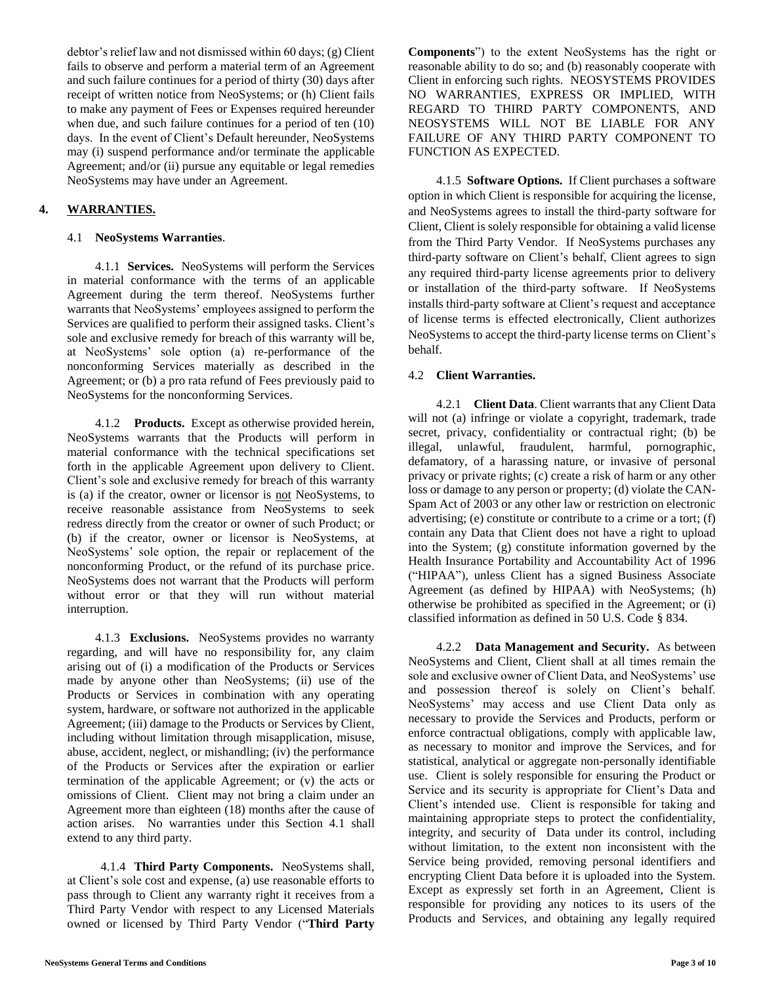debtor's relief law and not dismissed within 60 days; (g) Client fails to observe and perform a material term of an Agreement and such failure continues for a period of thirty (30) days after receipt of written notice from NeoSystems; or (h) Client fails to make any payment of Fees or Expenses required hereunder when due, and such failure continues for a period of ten (10) days. In the event of Client's Default hereunder, NeoSystems may (i) suspend performance and/or terminate the applicable Agreement; and/or (ii) pursue any equitable or legal remedies NeoSystems may have under an Agreement.

# **4. WARRANTIES.**

## 4.1 **NeoSystems Warranties**.

4.1.1 **Services.** NeoSystems will perform the Services in material conformance with the terms of an applicable Agreement during the term thereof. NeoSystems further warrants that NeoSystems' employees assigned to perform the Services are qualified to perform their assigned tasks. Client's sole and exclusive remedy for breach of this warranty will be, at NeoSystems' sole option (a) re-performance of the nonconforming Services materially as described in the Agreement; or (b) a pro rata refund of Fees previously paid to NeoSystems for the nonconforming Services.

4.1.2 **Products.** Except as otherwise provided herein, NeoSystems warrants that the Products will perform in material conformance with the technical specifications set forth in the applicable Agreement upon delivery to Client. Client's sole and exclusive remedy for breach of this warranty is (a) if the creator, owner or licensor is not NeoSystems, to receive reasonable assistance from NeoSystems to seek redress directly from the creator or owner of such Product; or (b) if the creator, owner or licensor is NeoSystems, at NeoSystems' sole option, the repair or replacement of the nonconforming Product, or the refund of its purchase price. NeoSystems does not warrant that the Products will perform without error or that they will run without material interruption.

4.1.3 **Exclusions.** NeoSystems provides no warranty regarding, and will have no responsibility for, any claim arising out of (i) a modification of the Products or Services made by anyone other than NeoSystems; (ii) use of the Products or Services in combination with any operating system, hardware, or software not authorized in the applicable Agreement; (iii) damage to the Products or Services by Client, including without limitation through misapplication, misuse, abuse, accident, neglect, or mishandling; (iv) the performance of the Products or Services after the expiration or earlier termination of the applicable Agreement; or (v) the acts or omissions of Client. Client may not bring a claim under an Agreement more than eighteen (18) months after the cause of action arises. No warranties under this Section 4.1 shall extend to any third party.

4.1.4 **Third Party Components.** NeoSystems shall, at Client's sole cost and expense, (a) use reasonable efforts to pass through to Client any warranty right it receives from a Third Party Vendor with respect to any Licensed Materials owned or licensed by Third Party Vendor ("**Third Party**  **Components**") to the extent NeoSystems has the right or reasonable ability to do so; and (b) reasonably cooperate with Client in enforcing such rights. NEOSYSTEMS PROVIDES NO WARRANTIES, EXPRESS OR IMPLIED, WITH REGARD TO THIRD PARTY COMPONENTS, AND NEOSYSTEMS WILL NOT BE LIABLE FOR ANY FAILURE OF ANY THIRD PARTY COMPONENT TO FUNCTION AS EXPECTED.

4.1.5 **Software Options.** If Client purchases a software option in which Client is responsible for acquiring the license, and NeoSystems agrees to install the third-party software for Client, Client is solely responsible for obtaining a valid license from the Third Party Vendor. If NeoSystems purchases any third-party software on Client's behalf, Client agrees to sign any required third-party license agreements prior to delivery or installation of the third-party software. If NeoSystems installs third-party software at Client's request and acceptance of license terms is effected electronically, Client authorizes NeoSystems to accept the third-party license terms on Client's behalf.

# 4.2 **Client Warranties.**

4.2.1 **Client Data**. Client warrants that any Client Data will not (a) infringe or violate a copyright, trademark, trade secret, privacy, confidentiality or contractual right; (b) be illegal, unlawful, fraudulent, harmful, pornographic, defamatory, of a harassing nature, or invasive of personal privacy or private rights; (c) create a risk of harm or any other loss or damage to any person or property; (d) violate the CAN-Spam Act of 2003 or any other law or restriction on electronic advertising; (e) constitute or contribute to a crime or a tort; (f) contain any Data that Client does not have a right to upload into the System; (g) constitute information governed by the Health Insurance Portability and Accountability Act of 1996 ("HIPAA"), unless Client has a signed Business Associate Agreement (as defined by HIPAA) with NeoSystems; (h) otherwise be prohibited as specified in the Agreement; or (i) classified information as defined in 50 U.S. Code § 834.

4.2.2 **Data Management and Security.** As between NeoSystems and Client, Client shall at all times remain the sole and exclusive owner of Client Data, and NeoSystems' use and possession thereof is solely on Client's behalf. NeoSystems' may access and use Client Data only as necessary to provide the Services and Products, perform or enforce contractual obligations, comply with applicable law, as necessary to monitor and improve the Services, and for statistical, analytical or aggregate non-personally identifiable use. Client is solely responsible for ensuring the Product or Service and its security is appropriate for Client's Data and Client's intended use. Client is responsible for taking and maintaining appropriate steps to protect the confidentiality, integrity, and security of Data under its control, including without limitation, to the extent non inconsistent with the Service being provided, removing personal identifiers and encrypting Client Data before it is uploaded into the System. Except as expressly set forth in an Agreement, Client is responsible for providing any notices to its users of the Products and Services, and obtaining any legally required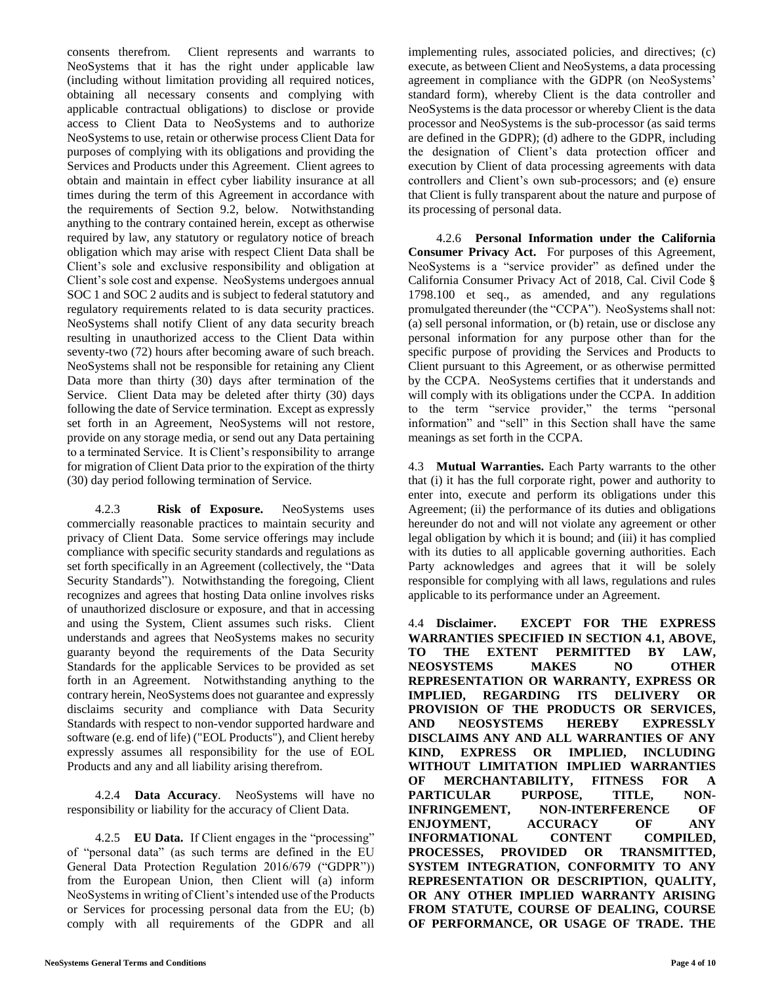consents therefrom. Client represents and warrants to NeoSystems that it has the right under applicable law (including without limitation providing all required notices, obtaining all necessary consents and complying with applicable contractual obligations) to disclose or provide access to Client Data to NeoSystems and to authorize NeoSystems to use, retain or otherwise process Client Data for purposes of complying with its obligations and providing the Services and Products under this Agreement. Client agrees to obtain and maintain in effect cyber liability insurance at all times during the term of this Agreement in accordance with the requirements of Section 9.2, below. Notwithstanding anything to the contrary contained herein, except as otherwise required by law, any statutory or regulatory notice of breach obligation which may arise with respect Client Data shall be Client's sole and exclusive responsibility and obligation at Client's sole cost and expense. NeoSystems undergoes annual SOC 1 and SOC 2 audits and is subject to federal statutory and regulatory requirements related to is data security practices. NeoSystems shall notify Client of any data security breach resulting in unauthorized access to the Client Data within seventy-two (72) hours after becoming aware of such breach. NeoSystems shall not be responsible for retaining any Client Data more than thirty (30) days after termination of the Service. Client Data may be deleted after thirty (30) days following the date of Service termination. Except as expressly set forth in an Agreement, NeoSystems will not restore, provide on any storage media, or send out any Data pertaining to a terminated Service. It is Client's responsibility to arrange for migration of Client Data prior to the expiration of the thirty (30) day period following termination of Service.

4.2.3 **Risk of Exposure.** NeoSystems uses commercially reasonable practices to maintain security and privacy of Client Data. Some service offerings may include compliance with specific security standards and regulations as set forth specifically in an Agreement (collectively, the "Data Security Standards"). Notwithstanding the foregoing, Client recognizes and agrees that hosting Data online involves risks of unauthorized disclosure or exposure, and that in accessing and using the System, Client assumes such risks. Client understands and agrees that NeoSystems makes no security guaranty beyond the requirements of the Data Security Standards for the applicable Services to be provided as set forth in an Agreement. Notwithstanding anything to the contrary herein, NeoSystems does not guarantee and expressly disclaims security and compliance with Data Security Standards with respect to non-vendor supported hardware and software (e.g. end of life) ("EOL Products"), and Client hereby expressly assumes all responsibility for the use of EOL Products and any and all liability arising therefrom.

4.2.4 **Data Accuracy**. NeoSystems will have no responsibility or liability for the accuracy of Client Data.

4.2.5 **EU Data.** If Client engages in the "processing" of "personal data" (as such terms are defined in the EU General Data Protection Regulation 2016/679 ("GDPR")) from the European Union, then Client will (a) inform NeoSystems in writing of Client's intended use of the Products or Services for processing personal data from the EU; (b) comply with all requirements of the GDPR and all implementing rules, associated policies, and directives; (c) execute, as between Client and NeoSystems, a data processing agreement in compliance with the GDPR (on NeoSystems' standard form), whereby Client is the data controller and NeoSystems is the data processor or whereby Client is the data processor and NeoSystems is the sub-processor (as said terms are defined in the GDPR); (d) adhere to the GDPR, including the designation of Client's data protection officer and execution by Client of data processing agreements with data controllers and Client's own sub-processors; and (e) ensure that Client is fully transparent about the nature and purpose of its processing of personal data.

4.2.6 **Personal Information under the California Consumer Privacy Act.** For purposes of this Agreement, NeoSystems is a "service provider" as defined under the California Consumer Privacy Act of 2018, Cal. Civil Code § 1798.100 et seq., as amended, and any regulations promulgated thereunder (the "CCPA"). NeoSystems shall not: (a) sell personal information, or (b) retain, use or disclose any personal information for any purpose other than for the specific purpose of providing the Services and Products to Client pursuant to this Agreement, or as otherwise permitted by the CCPA. NeoSystems certifies that it understands and will comply with its obligations under the CCPA. In addition to the term "service provider," the terms "personal information" and "sell" in this Section shall have the same meanings as set forth in the CCPA.

4.3 **Mutual Warranties.** Each Party warrants to the other that (i) it has the full corporate right, power and authority to enter into, execute and perform its obligations under this Agreement; (ii) the performance of its duties and obligations hereunder do not and will not violate any agreement or other legal obligation by which it is bound; and (iii) it has complied with its duties to all applicable governing authorities. Each Party acknowledges and agrees that it will be solely responsible for complying with all laws, regulations and rules applicable to its performance under an Agreement.

4.4 **Disclaimer. EXCEPT FOR THE EXPRESS WARRANTIES SPECIFIED IN SECTION 4.1, ABOVE, TO THE EXTENT PERMITTED BY LAW, NEOSYSTEMS MAKES NO OTHER REPRESENTATION OR WARRANTY, EXPRESS OR IMPLIED, REGARDING ITS DELIVERY OR PROVISION OF THE PRODUCTS OR SERVICES, AND NEOSYSTEMS HEREBY EXPRESSLY DISCLAIMS ANY AND ALL WARRANTIES OF ANY KIND, EXPRESS OR IMPLIED, INCLUDING WITHOUT LIMITATION IMPLIED WARRANTIES OF MERCHANTABILITY, FITNESS FOR A PARTICULAR PURPOSE, TITLE, NON-INFRINGEMENT, NON-INTERFERENCE OF ENJOYMENT, ACCURACY OF ANY INFORMATIONAL CONTENT COMPILED, PROCESSES, PROVIDED OR TRANSMITTED, SYSTEM INTEGRATION, CONFORMITY TO ANY REPRESENTATION OR DESCRIPTION, QUALITY, OR ANY OTHER IMPLIED WARRANTY ARISING FROM STATUTE, COURSE OF DEALING, COURSE OF PERFORMANCE, OR USAGE OF TRADE. THE**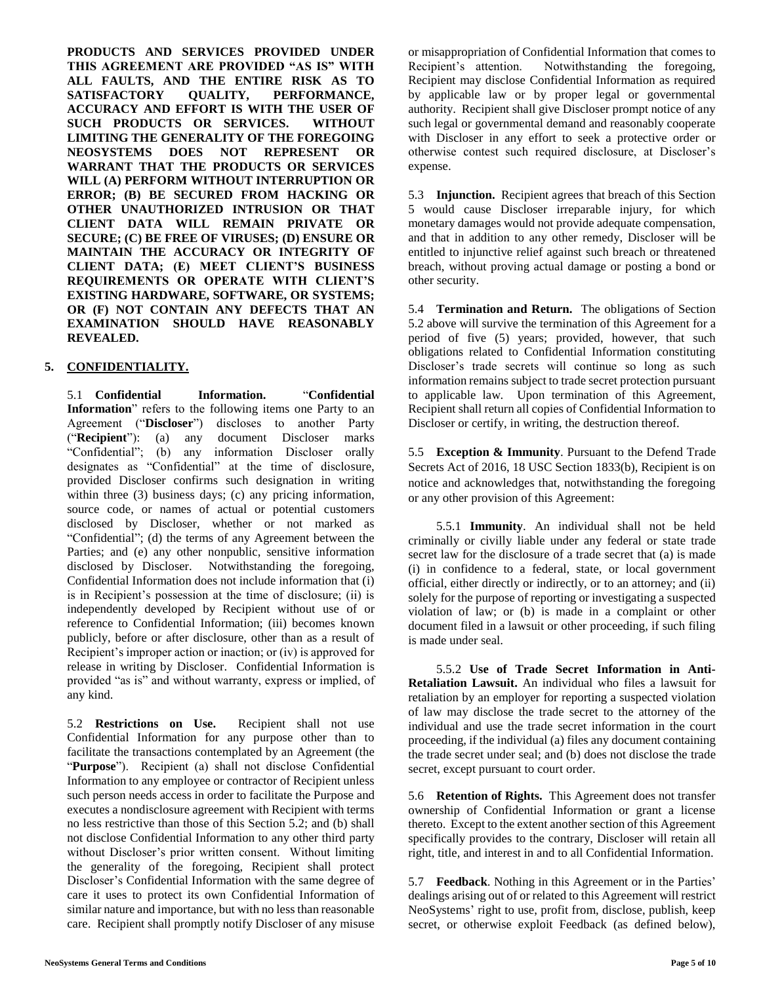**PRODUCTS AND SERVICES PROVIDED UNDER THIS AGREEMENT ARE PROVIDED "AS IS" WITH ALL FAULTS, AND THE ENTIRE RISK AS TO SATISFACTORY QUALITY, PERFORMANCE, ACCURACY AND EFFORT IS WITH THE USER OF SUCH PRODUCTS OR SERVICES. WITHOUT LIMITING THE GENERALITY OF THE FOREGOING NEOSYSTEMS DOES NOT REPRESENT OR WARRANT THAT THE PRODUCTS OR SERVICES WILL (A) PERFORM WITHOUT INTERRUPTION OR ERROR; (B) BE SECURED FROM HACKING OR OTHER UNAUTHORIZED INTRUSION OR THAT CLIENT DATA WILL REMAIN PRIVATE OR SECURE; (C) BE FREE OF VIRUSES; (D) ENSURE OR MAINTAIN THE ACCURACY OR INTEGRITY OF CLIENT DATA; (E) MEET CLIENT'S BUSINESS REQUIREMENTS OR OPERATE WITH CLIENT'S EXISTING HARDWARE, SOFTWARE, OR SYSTEMS; OR (F) NOT CONTAIN ANY DEFECTS THAT AN EXAMINATION SHOULD HAVE REASONABLY REVEALED.** 

# **5. CONFIDENTIALITY.**

5.1 **Confidential Information.** "**Confidential Information**" refers to the following items one Party to an Agreement ("**Discloser**") discloses to another Party ("**Recipient**"): (a) any document Discloser marks "Confidential"; (b) any information Discloser orally designates as "Confidential" at the time of disclosure, provided Discloser confirms such designation in writing within three (3) business days; (c) any pricing information, source code, or names of actual or potential customers disclosed by Discloser, whether or not marked as "Confidential"; (d) the terms of any Agreement between the Parties; and (e) any other nonpublic, sensitive information disclosed by Discloser. Notwithstanding the foregoing, Confidential Information does not include information that (i) is in Recipient's possession at the time of disclosure; (ii) is independently developed by Recipient without use of or reference to Confidential Information; (iii) becomes known publicly, before or after disclosure, other than as a result of Recipient's improper action or inaction; or (iv) is approved for release in writing by Discloser. Confidential Information is provided "as is" and without warranty, express or implied, of any kind.

5.2 **Restrictions on Use.** Recipient shall not use Confidential Information for any purpose other than to facilitate the transactions contemplated by an Agreement (the "**Purpose**"). Recipient (a) shall not disclose Confidential Information to any employee or contractor of Recipient unless such person needs access in order to facilitate the Purpose and executes a nondisclosure agreement with Recipient with terms no less restrictive than those of this Section 5.2; and (b) shall not disclose Confidential Information to any other third party without Discloser's prior written consent. Without limiting the generality of the foregoing, Recipient shall protect Discloser's Confidential Information with the same degree of care it uses to protect its own Confidential Information of similar nature and importance, but with no less than reasonable care. Recipient shall promptly notify Discloser of any misuse

or misappropriation of Confidential Information that comes to Recipient's attention. Notwithstanding the foregoing, Recipient may disclose Confidential Information as required by applicable law or by proper legal or governmental authority. Recipient shall give Discloser prompt notice of any such legal or governmental demand and reasonably cooperate with Discloser in any effort to seek a protective order or otherwise contest such required disclosure, at Discloser's expense.

5.3 **Injunction.** Recipient agrees that breach of this Section 5 would cause Discloser irreparable injury, for which monetary damages would not provide adequate compensation, and that in addition to any other remedy, Discloser will be entitled to injunctive relief against such breach or threatened breach, without proving actual damage or posting a bond or other security.

5.4 **Termination and Return.** The obligations of Section 5.2 above will survive the termination of this Agreement for a period of five (5) years; provided, however, that such obligations related to Confidential Information constituting Discloser's trade secrets will continue so long as such information remains subject to trade secret protection pursuant to applicable law. Upon termination of this Agreement, Recipient shall return all copies of Confidential Information to Discloser or certify, in writing, the destruction thereof.

5.5 **Exception & Immunity**. Pursuant to the Defend Trade Secrets Act of 2016, 18 USC Section 1833(b), Recipient is on notice and acknowledges that, notwithstanding the foregoing or any other provision of this Agreement:

5.5.1 **Immunity**. An individual shall not be held criminally or civilly liable under any federal or state trade secret law for the disclosure of a trade secret that (a) is made (i) in confidence to a federal, state, or local government official, either directly or indirectly, or to an attorney; and (ii) solely for the purpose of reporting or investigating a suspected violation of law; or (b) is made in a complaint or other document filed in a lawsuit or other proceeding, if such filing is made under seal.

5.5.2 **Use of Trade Secret Information in Anti-Retaliation Lawsuit.** An individual who files a lawsuit for retaliation by an employer for reporting a suspected violation of law may disclose the trade secret to the attorney of the individual and use the trade secret information in the court proceeding, if the individual (a) files any document containing the trade secret under seal; and (b) does not disclose the trade secret, except pursuant to court order.

5.6 **Retention of Rights.** This Agreement does not transfer ownership of Confidential Information or grant a license thereto. Except to the extent another section of this Agreement specifically provides to the contrary, Discloser will retain all right, title, and interest in and to all Confidential Information.

5.7 **Feedback**. Nothing in this Agreement or in the Parties' dealings arising out of or related to this Agreement will restrict NeoSystems' right to use, profit from, disclose, publish, keep secret, or otherwise exploit Feedback (as defined below),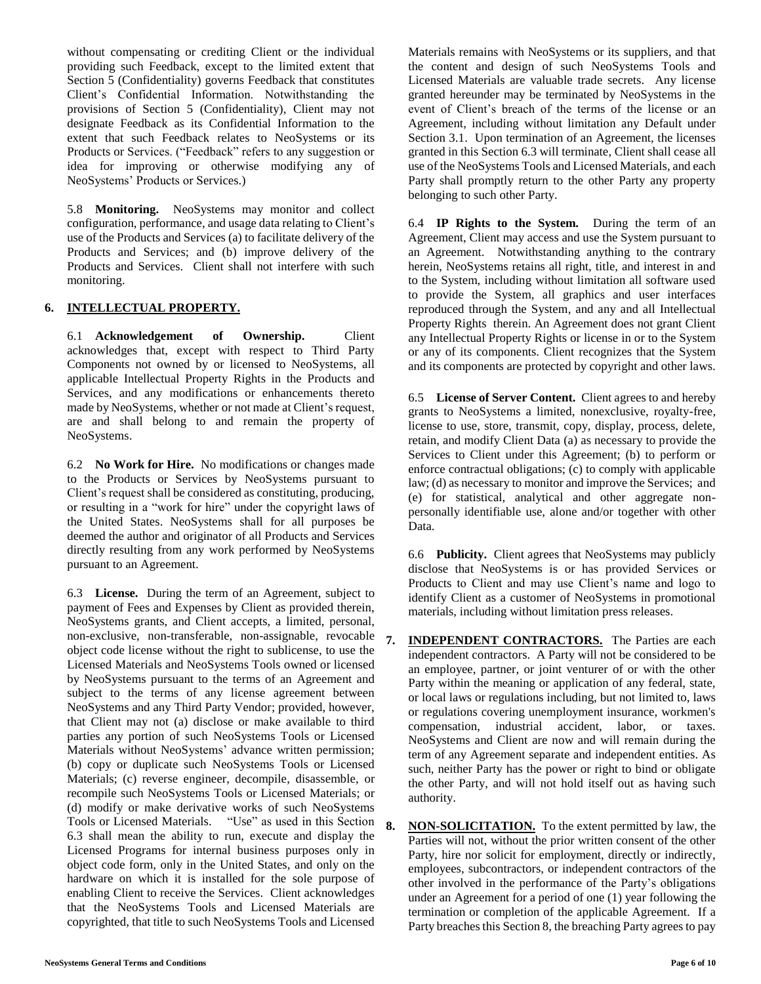without compensating or crediting Client or the individual providing such Feedback, except to the limited extent that Section 5 (Confidentiality) governs Feedback that constitutes Client's Confidential Information. Notwithstanding the provisions of Section 5 (Confidentiality), Client may not designate Feedback as its Confidential Information to the extent that such Feedback relates to NeoSystems or its Products or Services. ("Feedback" refers to any suggestion or idea for improving or otherwise modifying any of NeoSystems' Products or Services.)

5.8 **Monitoring.** NeoSystems may monitor and collect configuration, performance, and usage data relating to Client's use of the Products and Services (a) to facilitate delivery of the Products and Services; and (b) improve delivery of the Products and Services. Client shall not interfere with such monitoring.

# **6. INTELLECTUAL PROPERTY.**

6.1 **Acknowledgement of Ownership.** Client acknowledges that, except with respect to Third Party Components not owned by or licensed to NeoSystems, all applicable Intellectual Property Rights in the Products and Services, and any modifications or enhancements thereto made by NeoSystems, whether or not made at Client's request, are and shall belong to and remain the property of NeoSystems.

6.2 **No Work for Hire.** No modifications or changes made to the Products or Services by NeoSystems pursuant to Client's request shall be considered as constituting, producing, or resulting in a "work for hire" under the copyright laws of the United States. NeoSystems shall for all purposes be deemed the author and originator of all Products and Services directly resulting from any work performed by NeoSystems pursuant to an Agreement.

6.3 **License.** During the term of an Agreement, subject to payment of Fees and Expenses by Client as provided therein, NeoSystems grants, and Client accepts, a limited, personal, non-exclusive, non-transferable, non-assignable, revocable object code license without the right to sublicense, to use the Licensed Materials and NeoSystems Tools owned or licensed by NeoSystems pursuant to the terms of an Agreement and subject to the terms of any license agreement between NeoSystems and any Third Party Vendor; provided, however, that Client may not (a) disclose or make available to third parties any portion of such NeoSystems Tools or Licensed Materials without NeoSystems' advance written permission; (b) copy or duplicate such NeoSystems Tools or Licensed Materials; (c) reverse engineer, decompile, disassemble, or recompile such NeoSystems Tools or Licensed Materials; or (d) modify or make derivative works of such NeoSystems Tools or Licensed Materials. "Use" as used in this Section 6.3 shall mean the ability to run, execute and display the Licensed Programs for internal business purposes only in object code form, only in the United States, and only on the hardware on which it is installed for the sole purpose of enabling Client to receive the Services. Client acknowledges that the NeoSystems Tools and Licensed Materials are copyrighted, that title to such NeoSystems Tools and Licensed

Materials remains with NeoSystems or its suppliers, and that the content and design of such NeoSystems Tools and Licensed Materials are valuable trade secrets. Any license granted hereunder may be terminated by NeoSystems in the event of Client's breach of the terms of the license or an Agreement, including without limitation any Default under Section 3.1. Upon termination of an Agreement, the licenses granted in this Section 6.3 will terminate, Client shall cease all use of the NeoSystems Tools and Licensed Materials, and each Party shall promptly return to the other Party any property belonging to such other Party.

6.4 **IP Rights to the System.** During the term of an Agreement, Client may access and use the System pursuant to an Agreement. Notwithstanding anything to the contrary herein, NeoSystems retains all right, title, and interest in and to the System, including without limitation all software used to provide the System, all graphics and user interfaces reproduced through the System, and any and all Intellectual Property Rights therein. An Agreement does not grant Client any Intellectual Property Rights or license in or to the System or any of its components. Client recognizes that the System and its components are protected by copyright and other laws.

6.5 **License of Server Content.** Client agrees to and hereby grants to NeoSystems a limited, nonexclusive, royalty-free, license to use, store, transmit, copy, display, process, delete, retain, and modify Client Data (a) as necessary to provide the Services to Client under this Agreement; (b) to perform or enforce contractual obligations; (c) to comply with applicable law; (d) as necessary to monitor and improve the Services; and (e) for statistical, analytical and other aggregate nonpersonally identifiable use, alone and/or together with other Data.

6.6 **Publicity.** Client agrees that NeoSystems may publicly disclose that NeoSystems is or has provided Services or Products to Client and may use Client's name and logo to identify Client as a customer of NeoSystems in promotional materials, including without limitation press releases.

- **7. INDEPENDENT CONTRACTORS.** The Parties are each independent contractors. A Party will not be considered to be an employee, partner, or joint venturer of or with the other Party within the meaning or application of any federal, state, or local laws or regulations including, but not limited to, laws or regulations covering unemployment insurance, workmen's compensation, industrial accident, labor, or taxes. NeoSystems and Client are now and will remain during the term of any Agreement separate and independent entities. As such, neither Party has the power or right to bind or obligate the other Party, and will not hold itself out as having such authority.
- **8. NON-SOLICITATION.** To the extent permitted by law, the Parties will not, without the prior written consent of the other Party, hire nor solicit for employment, directly or indirectly, employees, subcontractors, or independent contractors of the other involved in the performance of the Party's obligations under an Agreement for a period of one (1) year following the termination or completion of the applicable Agreement. If a Party breaches this Section 8, the breaching Party agrees to pay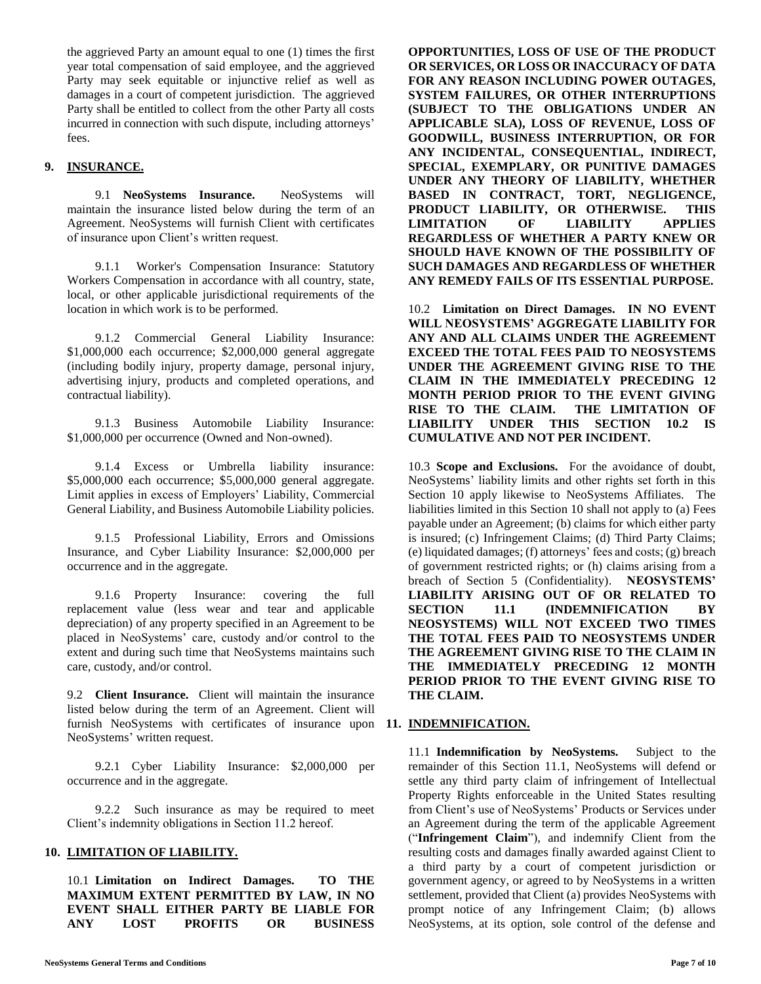the aggrieved Party an amount equal to one (1) times the first year total compensation of said employee, and the aggrieved Party may seek equitable or injunctive relief as well as damages in a court of competent jurisdiction. The aggrieved Party shall be entitled to collect from the other Party all costs incurred in connection with such dispute, including attorneys' fees.

# **9. INSURANCE.**

9.1 **NeoSystems Insurance.** NeoSystems will maintain the insurance listed below during the term of an Agreement. NeoSystems will furnish Client with certificates of insurance upon Client's written request.

9.1.1 Worker's Compensation Insurance: Statutory Workers Compensation in accordance with all country, state, local, or other applicable jurisdictional requirements of the location in which work is to be performed.

9.1.2 Commercial General Liability Insurance: \$1,000,000 each occurrence; \$2,000,000 general aggregate (including bodily injury, property damage, personal injury, advertising injury, products and completed operations, and contractual liability).

9.1.3 Business Automobile Liability Insurance: \$1,000,000 per occurrence (Owned and Non-owned).

9.1.4 Excess or Umbrella liability insurance: \$5,000,000 each occurrence; \$5,000,000 general aggregate. Limit applies in excess of Employers' Liability, Commercial General Liability, and Business Automobile Liability policies.

9.1.5 Professional Liability, Errors and Omissions Insurance, and Cyber Liability Insurance: \$2,000,000 per occurrence and in the aggregate.

9.1.6 Property Insurance: covering the full replacement value (less wear and tear and applicable depreciation) of any property specified in an Agreement to be placed in NeoSystems' care, custody and/or control to the extent and during such time that NeoSystems maintains such care, custody, and/or control.

9.2 **Client Insurance.** Client will maintain the insurance listed below during the term of an Agreement. Client will furnish NeoSystems with certificates of insurance upon **11. INDEMNIFICATION.** NeoSystems' written request.

9.2.1 Cyber Liability Insurance: \$2,000,000 per occurrence and in the aggregate.

9.2.2 Such insurance as may be required to meet Client's indemnity obligations in Section 11.2 hereof.

#### **10. LIMITATION OF LIABILITY.**

10.1 **Limitation on Indirect Damages. TO THE MAXIMUM EXTENT PERMITTED BY LAW, IN NO EVENT SHALL EITHER PARTY BE LIABLE FOR ANY LOST PROFITS OR BUSINESS**  **OPPORTUNITIES, LOSS OF USE OF THE PRODUCT OR SERVICES, OR LOSS OR INACCURACY OF DATA FOR ANY REASON INCLUDING POWER OUTAGES, SYSTEM FAILURES, OR OTHER INTERRUPTIONS (SUBJECT TO THE OBLIGATIONS UNDER AN APPLICABLE SLA), LOSS OF REVENUE, LOSS OF GOODWILL, BUSINESS INTERRUPTION, OR FOR ANY INCIDENTAL, CONSEQUENTIAL, INDIRECT, SPECIAL, EXEMPLARY, OR PUNITIVE DAMAGES UNDER ANY THEORY OF LIABILITY, WHETHER BASED IN CONTRACT, TORT, NEGLIGENCE, PRODUCT LIABILITY, OR OTHERWISE. THIS LIMITATION OF LIABILITY APPLIES REGARDLESS OF WHETHER A PARTY KNEW OR SHOULD HAVE KNOWN OF THE POSSIBILITY OF SUCH DAMAGES AND REGARDLESS OF WHETHER ANY REMEDY FAILS OF ITS ESSENTIAL PURPOSE.**

10.2 **Limitation on Direct Damages. IN NO EVENT WILL NEOSYSTEMS' AGGREGATE LIABILITY FOR ANY AND ALL CLAIMS UNDER THE AGREEMENT EXCEED THE TOTAL FEES PAID TO NEOSYSTEMS UNDER THE AGREEMENT GIVING RISE TO THE CLAIM IN THE IMMEDIATELY PRECEDING 12 MONTH PERIOD PRIOR TO THE EVENT GIVING RISE TO THE CLAIM. THE LIMITATION OF LIABILITY UNDER THIS SECTION 10.2 IS CUMULATIVE AND NOT PER INCIDENT.** 

10.3 **Scope and Exclusions.** For the avoidance of doubt, NeoSystems' liability limits and other rights set forth in this Section 10 apply likewise to NeoSystems Affiliates. The liabilities limited in this Section 10 shall not apply to (a) Fees payable under an Agreement; (b) claims for which either party is insured; (c) Infringement Claims; (d) Third Party Claims; (e) liquidated damages; (f) attorneys' fees and costs; (g) breach of government restricted rights; or (h) claims arising from a breach of Section 5 (Confidentiality). **NEOSYSTEMS' LIABILITY ARISING OUT OF OR RELATED TO SECTION 11.1 (INDEMNIFICATION BY NEOSYSTEMS) WILL NOT EXCEED TWO TIMES THE TOTAL FEES PAID TO NEOSYSTEMS UNDER THE AGREEMENT GIVING RISE TO THE CLAIM IN THE IMMEDIATELY PRECEDING 12 MONTH PERIOD PRIOR TO THE EVENT GIVING RISE TO THE CLAIM.**

11.1 **Indemnification by NeoSystems.** Subject to the remainder of this Section 11.1, NeoSystems will defend or settle any third party claim of infringement of Intellectual Property Rights enforceable in the United States resulting from Client's use of NeoSystems' Products or Services under an Agreement during the term of the applicable Agreement ("**Infringement Claim**"), and indemnify Client from the resulting costs and damages finally awarded against Client to a third party by a court of competent jurisdiction or government agency, or agreed to by NeoSystems in a written settlement, provided that Client (a) provides NeoSystems with prompt notice of any Infringement Claim; (b) allows NeoSystems, at its option, sole control of the defense and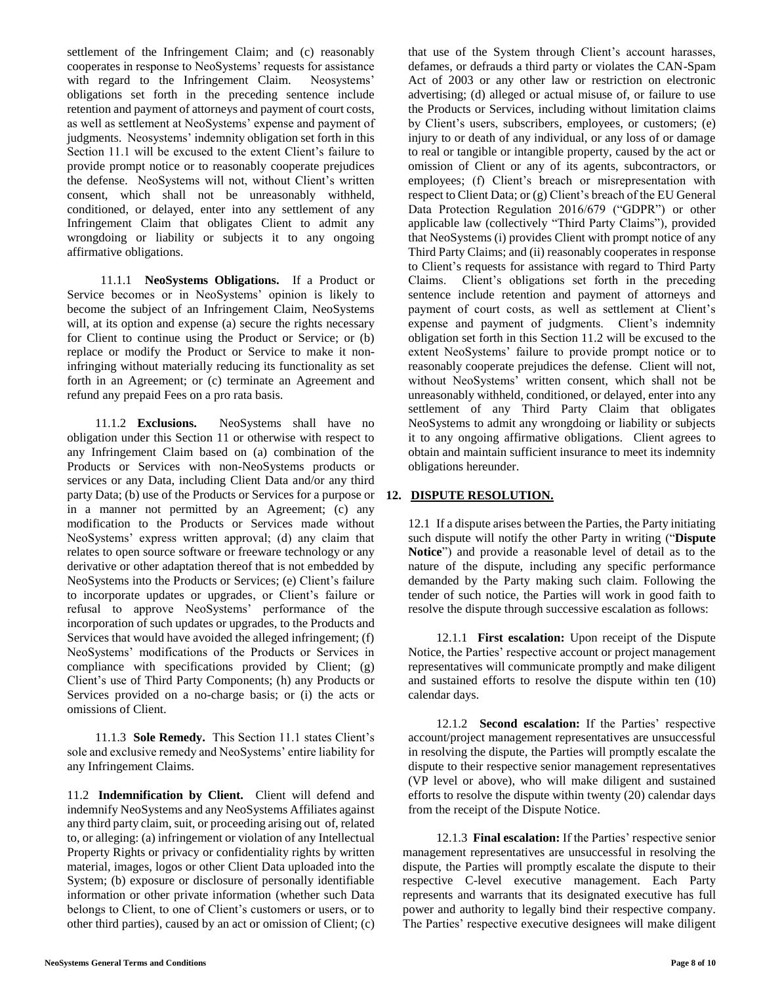Section 11.1 will be excused to the extent Client's failure to provide prompt notice or to reasonably cooperate prejudices the defense. NeoSystems will not, without Client's written consent, which shall not be unreasonably withheld, conditioned, or delayed, enter into any settlement of any Infringement Claim that obligates Client to admit any wrongdoing or liability or subjects it to any ongoing affirmative obligations. 11.1.1 **NeoSystems Obligations.** If a Product or Service becomes or in NeoSystems' opinion is likely to become the subject of an Infringement Claim, NeoSystems will, at its option and expense (a) secure the rights necessary

for Client to continue using the Product or Service; or (b) replace or modify the Product or Service to make it noninfringing without materially reducing its functionality as set forth in an Agreement; or (c) terminate an Agreement and refund any prepaid Fees on a pro rata basis.

settlement of the Infringement Claim; and (c) reasonably cooperates in response to NeoSystems' requests for assistance with regard to the Infringement Claim. Neosystems' obligations set forth in the preceding sentence include retention and payment of attorneys and payment of court costs, as well as settlement at NeoSystems' expense and payment of judgments. Neosystems' indemnity obligation set forth in this

11.1.2 **Exclusions.** NeoSystems shall have no obligation under this Section 11 or otherwise with respect to any Infringement Claim based on (a) combination of the Products or Services with non-NeoSystems products or services or any Data, including Client Data and/or any third party Data; (b) use of the Products or Services for a purpose or in a manner not permitted by an Agreement; (c) any modification to the Products or Services made without NeoSystems' express written approval; (d) any claim that relates to open source software or freeware technology or any derivative or other adaptation thereof that is not embedded by NeoSystems into the Products or Services; (e) Client's failure to incorporate updates or upgrades, or Client's failure or refusal to approve NeoSystems' performance of the incorporation of such updates or upgrades, to the Products and Services that would have avoided the alleged infringement; (f) NeoSystems' modifications of the Products or Services in compliance with specifications provided by Client; (g) Client's use of Third Party Components; (h) any Products or Services provided on a no-charge basis; or (i) the acts or omissions of Client.

11.1.3 **Sole Remedy.** This Section 11.1 states Client's sole and exclusive remedy and NeoSystems' entire liability for any Infringement Claims.

11.2 **Indemnification by Client.** Client will defend and indemnify NeoSystems and any NeoSystems Affiliates against any third party claim, suit, or proceeding arising out of, related to, or alleging: (a) infringement or violation of any Intellectual Property Rights or privacy or confidentiality rights by written material, images, logos or other Client Data uploaded into the System; (b) exposure or disclosure of personally identifiable information or other private information (whether such Data belongs to Client, to one of Client's customers or users, or to other third parties), caused by an act or omission of Client; (c) that use of the System through Client's account harasses, defames, or defrauds a third party or violates the CAN-Spam Act of 2003 or any other law or restriction on electronic advertising; (d) alleged or actual misuse of, or failure to use the Products or Services, including without limitation claims by Client's users, subscribers, employees, or customers; (e) injury to or death of any individual, or any loss of or damage to real or tangible or intangible property, caused by the act or omission of Client or any of its agents, subcontractors, or employees; (f) Client's breach or misrepresentation with respect to Client Data; or (g) Client's breach of the EU General Data Protection Regulation 2016/679 ("GDPR") or other applicable law (collectively "Third Party Claims"), provided that NeoSystems (i) provides Client with prompt notice of any Third Party Claims; and (ii) reasonably cooperates in response to Client's requests for assistance with regard to Third Party Claims. Client's obligations set forth in the preceding sentence include retention and payment of attorneys and payment of court costs, as well as settlement at Client's expense and payment of judgments. Client's indemnity obligation set forth in this Section 11.2 will be excused to the extent NeoSystems' failure to provide prompt notice or to reasonably cooperate prejudices the defense. Client will not, without NeoSystems' written consent, which shall not be unreasonably withheld, conditioned, or delayed, enter into any settlement of any Third Party Claim that obligates NeoSystems to admit any wrongdoing or liability or subjects it to any ongoing affirmative obligations. Client agrees to obtain and maintain sufficient insurance to meet its indemnity obligations hereunder.

# **12. DISPUTE RESOLUTION.**

12.1 If a dispute arises between the Parties, the Party initiating such dispute will notify the other Party in writing ("**Dispute Notice**") and provide a reasonable level of detail as to the nature of the dispute, including any specific performance demanded by the Party making such claim. Following the tender of such notice, the Parties will work in good faith to resolve the dispute through successive escalation as follows:

12.1.1 **First escalation:** Upon receipt of the Dispute Notice, the Parties' respective account or project management representatives will communicate promptly and make diligent and sustained efforts to resolve the dispute within ten (10) calendar days.

12.1.2 **Second escalation:** If the Parties' respective account/project management representatives are unsuccessful in resolving the dispute, the Parties will promptly escalate the dispute to their respective senior management representatives (VP level or above), who will make diligent and sustained efforts to resolve the dispute within twenty (20) calendar days from the receipt of the Dispute Notice.

12.1.3 **Final escalation:** If the Parties' respective senior management representatives are unsuccessful in resolving the dispute, the Parties will promptly escalate the dispute to their respective C-level executive management. Each Party represents and warrants that its designated executive has full power and authority to legally bind their respective company. The Parties' respective executive designees will make diligent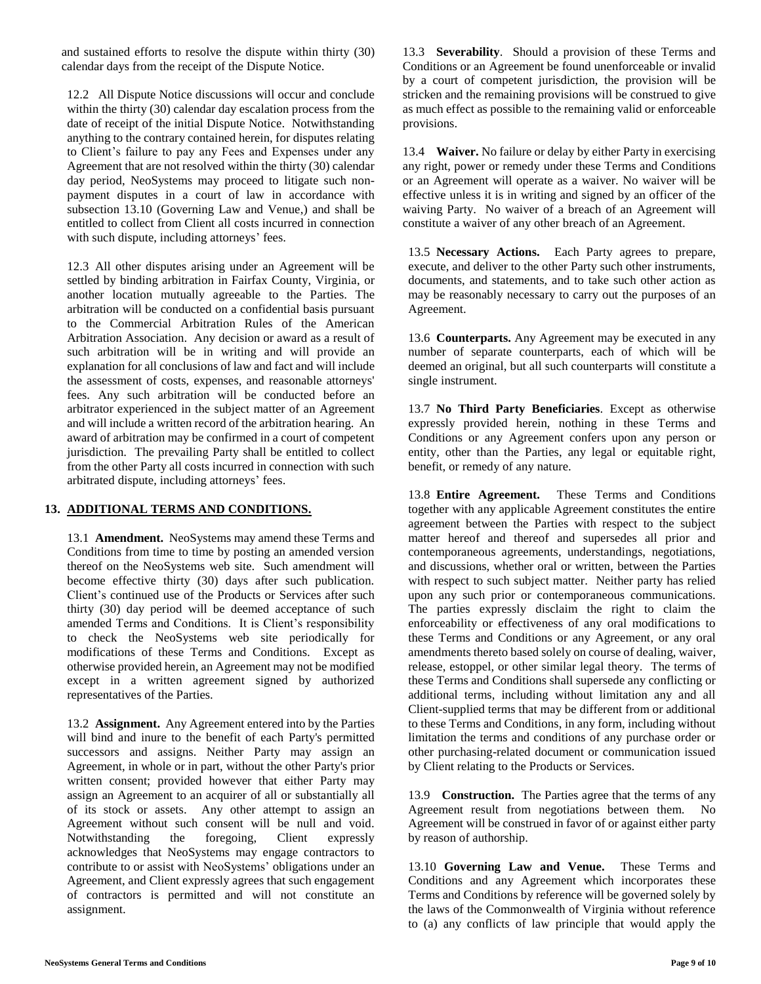and sustained efforts to resolve the dispute within thirty (30) calendar days from the receipt of the Dispute Notice.

12.2 All Dispute Notice discussions will occur and conclude within the thirty (30) calendar day escalation process from the date of receipt of the initial Dispute Notice. Notwithstanding anything to the contrary contained herein, for disputes relating to Client's failure to pay any Fees and Expenses under any Agreement that are not resolved within the thirty (30) calendar day period, NeoSystems may proceed to litigate such nonpayment disputes in a court of law in accordance with subsection 13.10 (Governing Law and Venue,) and shall be entitled to collect from Client all costs incurred in connection with such dispute, including attorneys' fees.

12.3 All other disputes arising under an Agreement will be settled by binding arbitration in Fairfax County, Virginia, or another location mutually agreeable to the Parties. The arbitration will be conducted on a confidential basis pursuant to the Commercial Arbitration Rules of the American Arbitration Association. Any decision or award as a result of such arbitration will be in writing and will provide an explanation for all conclusions of law and fact and will include the assessment of costs, expenses, and reasonable attorneys' fees. Any such arbitration will be conducted before an arbitrator experienced in the subject matter of an Agreement and will include a written record of the arbitration hearing. An award of arbitration may be confirmed in a court of competent jurisdiction. The prevailing Party shall be entitled to collect from the other Party all costs incurred in connection with such arbitrated dispute, including attorneys' fees.

# **13. ADDITIONAL TERMS AND CONDITIONS.**

13.1 **Amendment.** NeoSystems may amend these Terms and Conditions from time to time by posting an amended version thereof on the NeoSystems web site. Such amendment will become effective thirty (30) days after such publication. Client's continued use of the Products or Services after such thirty (30) day period will be deemed acceptance of such amended Terms and Conditions. It is Client's responsibility to check the NeoSystems web site periodically for modifications of these Terms and Conditions. Except as otherwise provided herein, an Agreement may not be modified except in a written agreement signed by authorized representatives of the Parties.

13.2 **Assignment.** Any Agreement entered into by the Parties will bind and inure to the benefit of each Party's permitted successors and assigns. Neither Party may assign an Agreement, in whole or in part, without the other Party's prior written consent; provided however that either Party may assign an Agreement to an acquirer of all or substantially all of its stock or assets. Any other attempt to assign an Agreement without such consent will be null and void. Notwithstanding the foregoing, Client expressly acknowledges that NeoSystems may engage contractors to contribute to or assist with NeoSystems' obligations under an Agreement, and Client expressly agrees that such engagement of contractors is permitted and will not constitute an assignment.

13.3 **Severability**. Should a provision of these Terms and Conditions or an Agreement be found unenforceable or invalid by a court of competent jurisdiction, the provision will be stricken and the remaining provisions will be construed to give as much effect as possible to the remaining valid or enforceable provisions.

13.4 **Waiver.** No failure or delay by either Party in exercising any right, power or remedy under these Terms and Conditions or an Agreement will operate as a waiver. No waiver will be effective unless it is in writing and signed by an officer of the waiving Party. No waiver of a breach of an Agreement will constitute a waiver of any other breach of an Agreement.

13.5 **Necessary Actions.** Each Party agrees to prepare, execute, and deliver to the other Party such other instruments, documents, and statements, and to take such other action as may be reasonably necessary to carry out the purposes of an Agreement.

13.6 **Counterparts.** Any Agreement may be executed in any number of separate counterparts, each of which will be deemed an original, but all such counterparts will constitute a single instrument.

13.7 **No Third Party Beneficiaries**. Except as otherwise expressly provided herein, nothing in these Terms and Conditions or any Agreement confers upon any person or entity, other than the Parties, any legal or equitable right, benefit, or remedy of any nature.

13.8 **Entire Agreement.** These Terms and Conditions together with any applicable Agreement constitutes the entire agreement between the Parties with respect to the subject matter hereof and thereof and supersedes all prior and contemporaneous agreements, understandings, negotiations, and discussions, whether oral or written, between the Parties with respect to such subject matter. Neither party has relied upon any such prior or contemporaneous communications. The parties expressly disclaim the right to claim the enforceability or effectiveness of any oral modifications to these Terms and Conditions or any Agreement, or any oral amendments thereto based solely on course of dealing, waiver, release, estoppel, or other similar legal theory. The terms of these Terms and Conditions shall supersede any conflicting or additional terms, including without limitation any and all Client-supplied terms that may be different from or additional to these Terms and Conditions, in any form, including without limitation the terms and conditions of any purchase order or other purchasing-related document or communication issued by Client relating to the Products or Services.

13.9 **Construction.** The Parties agree that the terms of any Agreement result from negotiations between them. No Agreement will be construed in favor of or against either party by reason of authorship.

13.10 **Governing Law and Venue.** These Terms and Conditions and any Agreement which incorporates these Terms and Conditions by reference will be governed solely by the laws of the Commonwealth of Virginia without reference to (a) any conflicts of law principle that would apply the